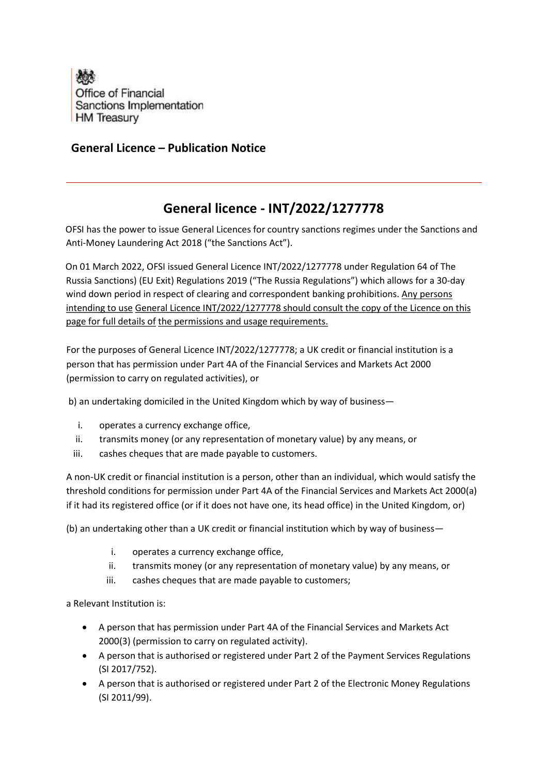

## General Licence – Publication Notice

## General licence - INT/2022/1277778

OFSI has the power to issue General Licences for country sanctions regimes under the Sanctions and Anti-Money Laundering Act 2018 ("the Sanctions Act").

On 01 March 2022, OFSI issued General Licence INT/2022/1277778 under Regulation 64 of The Russia Sanctions) (EU Exit) Regulations 2019 ("The Russia Regulations") which allows for a 30-day wind down period in respect of clearing and correspondent banking prohibitions. Any persons intending to use General Licence INT/2022/1277778 should consult the copy of the Licence on this page for full details of the permissions and usage requirements.

For the purposes of General Licence INT/2022/1277778; a UK credit or financial institution is a person that has permission under Part 4A of the Financial Services and Markets Act 2000 (permission to carry on regulated activities), or

b) an undertaking domiciled in the United Kingdom which by way of business—

- i. operates a currency exchange office,
- ii. transmits money (or any representation of monetary value) by any means, or
- iii. cashes cheques that are made payable to customers.

A non-UK credit or financial institution is a person, other than an individual, which would satisfy the threshold conditions for permission under Part 4A of the Financial Services and Markets Act 2000(a) if it had its registered office (or if it does not have one, its head office) in the United Kingdom, or)

(b) an undertaking other than a UK credit or financial institution which by way of business—

- i. operates a currency exchange office,
- ii. transmits money (or any representation of monetary value) by any means, or
- iii. cashes cheques that are made payable to customers;

a Relevant Institution is:

- A person that has permission under Part 4A of the Financial Services and Markets Act 2000(3) (permission to carry on regulated activity).
- A person that is authorised or registered under Part 2 of the Payment Services Regulations (SI 2017/752).
- A person that is authorised or registered under Part 2 of the Electronic Money Regulations (SI 2011/99).